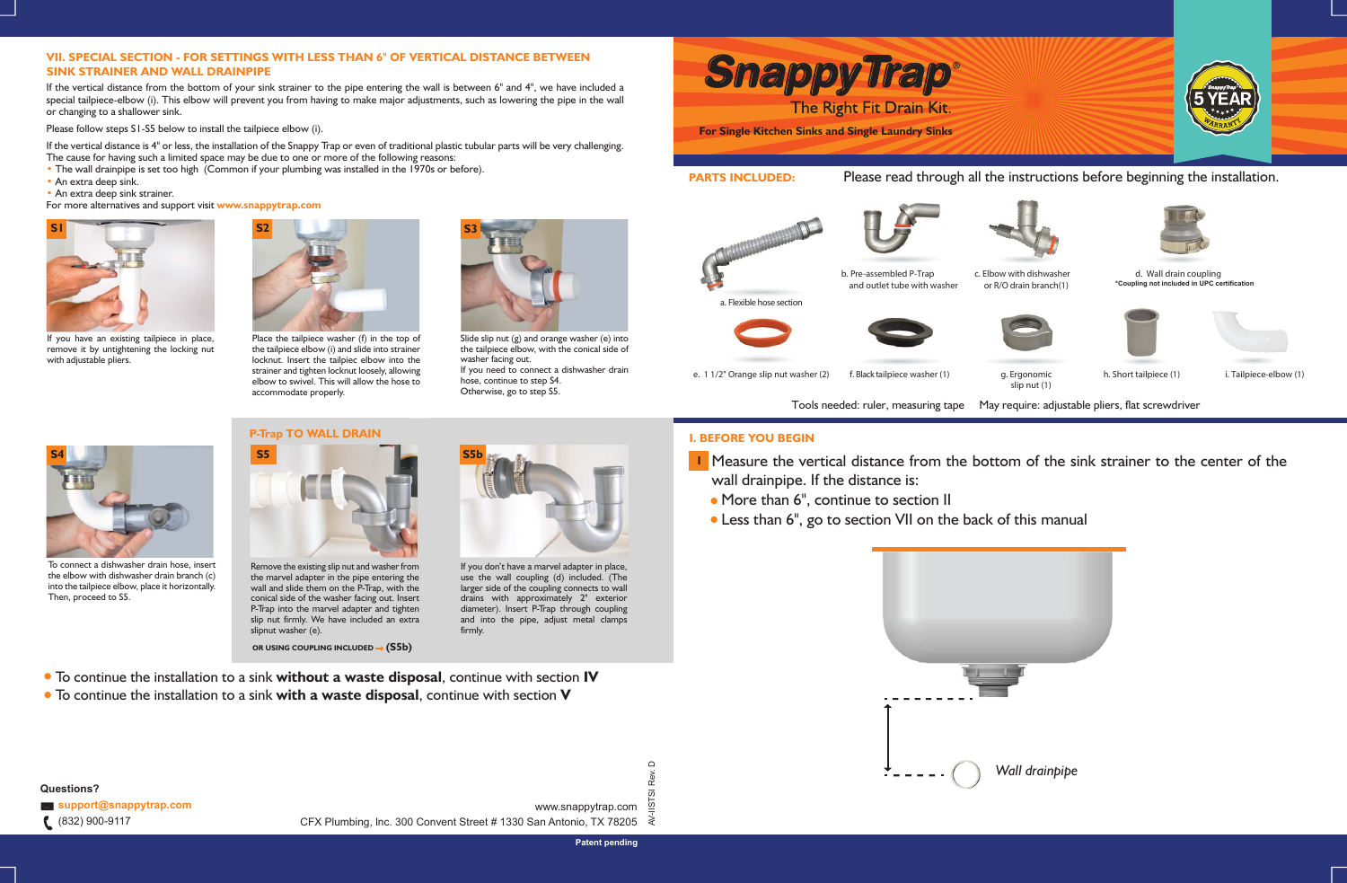slip nut (1)

**I** Measure the vertical distance from the bottom of the sink strainer to the center of the

• Less than 6", go to section VII on the back of this manual



Tools needed: ruler, measuring tape May require: adjustable pliers, flat screwdriver



**I. BEFORE YOU BEGIN**

wall drainpipe. If the distance is:

• More than 6", continue to section II

- The cause for having such a limited space may be due to one or more of the following reasons:
- The wall drainpipe is set too high (Common if your plumbing was installed in the 1970s or before).
- An extra deep sink. •
- An extra deep sink strainer.

*Wall drainpipe*

If the vertical distance from the bottom of your sink strainer to the pipe entering the wall is between 6" and 4", we have included a special tailpiece-elbow (i). This elbow will prevent you from having to make major adjustments, such as lowering the pipe in the wall or changing to a shallower sink.

Please follow steps S1-S5 below to install the tailpiece elbow (i).

If the vertical distance is 4" or less, the installation of the Snappy Trap or even of traditional plastic tubular parts will be very challenging.



Slide slip nut (g) and orange washer (e) into the tailpiece elbow, with the conical side of washer facing out. If you need to connect a dishwasher drain hose, continue to step S4. Otherwise, go to step S5.

sert Remove the existing slip nut and washer from **hand is a place on a place** sert and represent on a place the marvel adapter in the pipe entering the wall and slide them on the P-Trap, with the conical side of the washer facing out. Insert P-Trap into the marvel adapter and tighten slip nut firmly. We have included an extra slipnut washer (e).

**OR USING COUPLING INCLUDED → (S5b)** 

# **VII. SPECIAL SECTION - FOR SETTINGS WITH LESS THAN 6" OF VERTICAL DISTANCE BETWEEN SINK STRAINER AND WALL DRAINPIPE**

AV-IISTSI Rev. D Rev.  $\overline{\omega}$ ≹

 $\Omega$ 



Place the tailpiece washer (f) in the top of the tailpiece elbow (i) and slide into strainer locknut. Insert the tailpiec elbow into the strainer and tighten locknut loosely, allowing elbow to swivel. This will allow the hose to accommodate properly.

For more alternatives and support visit **www.snappytrap.com www.sna**



If you have an existing tailpiece in place, P remove it by untightening the locking nut with adjustable pliers.



To connect a dishwasher drain hose, insert the elbow with dishwasher drain branch (c) into the tailpiece elbow, place it horizontally. Then, proceed to S5.





If you don't have a marvel adapter in place, use the wall coupling (d) included. (The larger side of the coupling connects to wall drains with approximately 2" exterior diameter). Insert P-Trap through coupling and into the pipe, adjust metal clamps firmly.

www.snappytrap.com CFX Plumbing, lnc. 300 Convent Street # 1330 San Antonio, TX 78205

- To continue the installation to a sink **without a waste disposal**, continue with section **IV**
- To continue the installation to a sink **with a waste disposal**, continue with section **V**